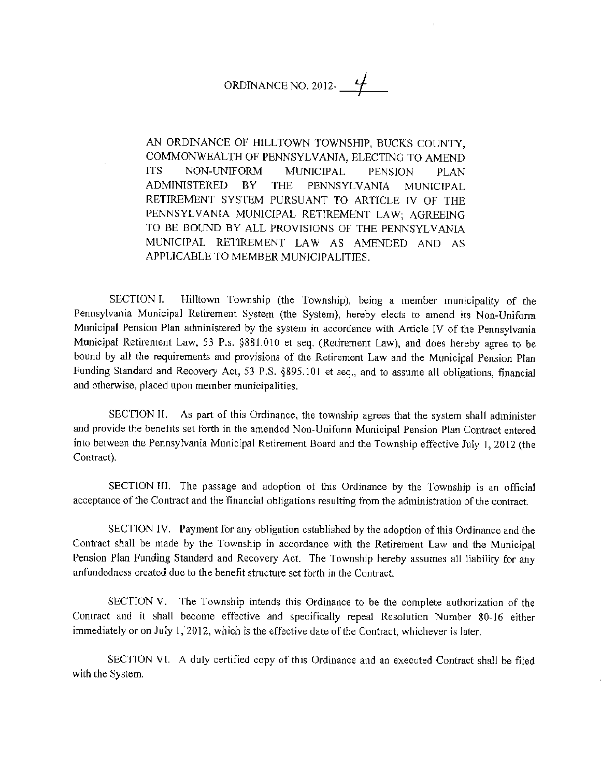## ORDINANCE NO. 2012- $f$

AN ORDINANCE OF HILLTOWN TOWNSHIP, BUCKS COUNTY, COMMONWEAL TH OF PENNSYLVANIA, ELECTING TO AMEND ITS NON-UNIFORM MUNICIPAL PENSION PLAN ADMINISTERED BY THE PENNSYLVANIA MUNICIPAL RETIREMENT SYSTEM PURSUANT TO ARTICLE fV OF THE PENNSYLVANIA MUNICIPAL RETIREMENT LAW; AGREEING TO BE BOUND BY ALL PROVISIONS OF THE PENNSYLVANIA MUNICIPAL RETIREMENT LAW AS AMENDED AND AS APPLICABLE TO MEMBER MUNICJPAUTIES.

SECTION I. Hilltown Township (the Township), being a member municipality of the Pennsylvania Municipal Retirement System (the System), hereby elects to amend its Non-Unifonn Municipal Pension Plan administered by the system in accordance with Article IV of the Pennsylvania Municipal Retirement Law, 53 P.s. §881.010 et seq. (Retirement Law), and does hereby agree to be bound by all the requirements and provisions of the Retirement Law and the Municipal Pension Plan Funding Standard and Recovery Act, 53 P.S. §895.101 et seq., and to assume all obligations, financial and otherwise, placed upon member municipalities.

SECTION II. As part of this Ordinance, the township agrees that the system shall administer and provide the benefits set forth in the amended Non-Uniform Municipal Pension Plan Contract entered into between the Pennsylvania Municipal Retirement Board and the Township effoctive July I, 2012 (the Contract).

SECTION HI. The passage and adoption of this Ordinance by the Township is an official acceptance of the Contract and the financial obligations resulting from the administration of the contract.

SECTION IV. Payment for any obligation established by the adoption of this Ordinance and the Contract shall be made by the Township in accordance with the Retirement Law and the Municipal Pension Plan Funding Standard and Recovery Act. The Township hereby assumes all liability for any unfundedness created due to the benefit structure set forth in the Contract.

SECTION V. The Township intends this Ordinance to be the complete authorization of the Contract and it shall become effective and specifically repeal Resolution Number 80-16 either immediately or on July 1, 2012, which is the effective date of the Contract, whichever is later.

SECTION VI. A duly certified copy of this Ordinance and an executed Contract shall be filed with the System.